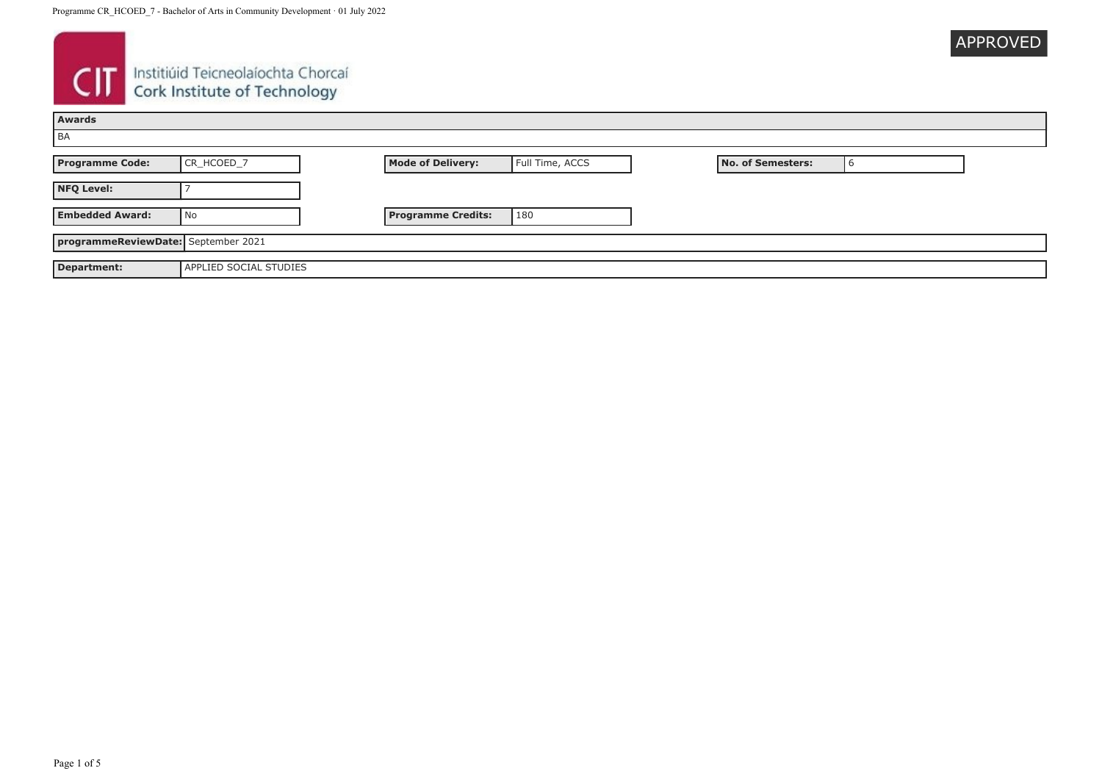| <b>APPROVED</b> |  |
|-----------------|--|
|                 |  |

# **CIT** Instituid Teicneolaíochta Chorcaí

| Awards                              |                               |                           |                 |                   |  |
|-------------------------------------|-------------------------------|---------------------------|-----------------|-------------------|--|
| BA                                  |                               |                           |                 |                   |  |
| <b>Programme Code:</b>              | CR_HCOED_7                    | <b>Mode of Delivery:</b>  | Full Time, ACCS | No. of Semesters: |  |
| <b>NFQ Level:</b>                   |                               |                           |                 |                   |  |
| <b>Embedded Award:</b>              | No                            | <b>Programme Credits:</b> | 180             |                   |  |
| programmeReviewDate: September 2021 |                               |                           |                 |                   |  |
| <b>Department:</b>                  | <b>APPLIED SOCIAL STUDIES</b> |                           |                 |                   |  |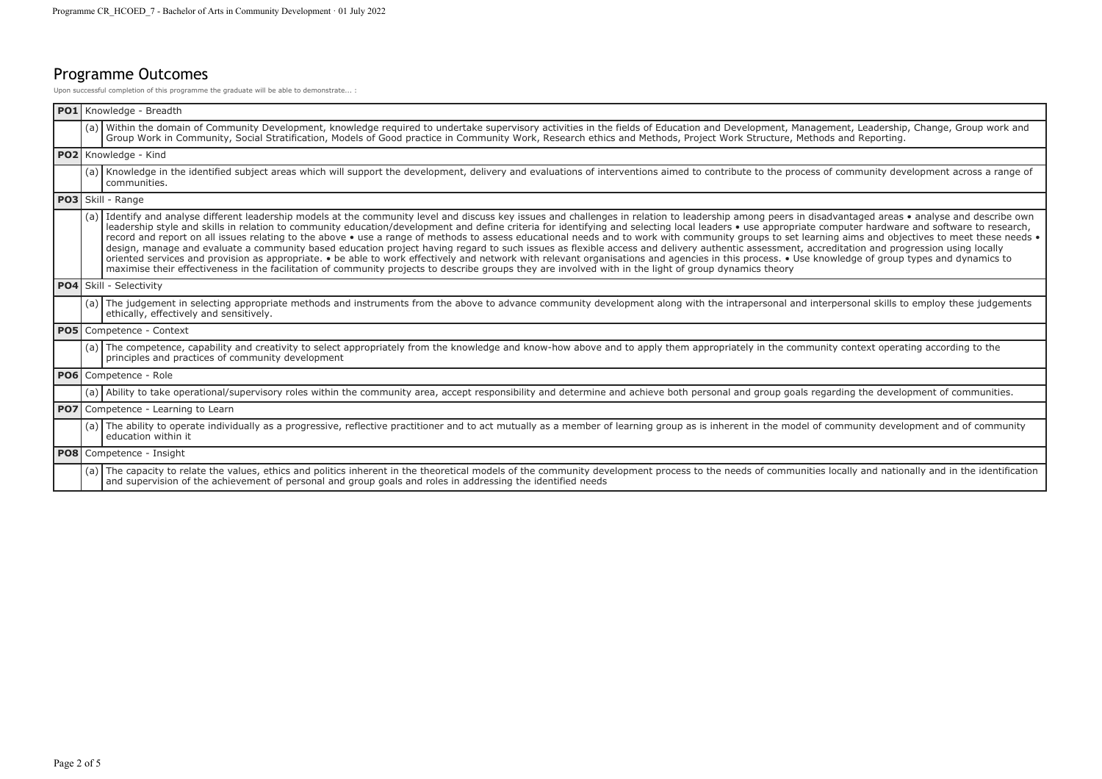## Programme Outcomes

Upon successful completion of this programme the graduate will be able to demonstrate... :

|  | PO1 Knowledge - Breadth                                                                                                                                                                                                                                                                                                                                                                                                                                                                                                                                                                                                                                                                                                                                                                                                                                                                                                                                                                                                                                                                                                                                                                           |
|--|---------------------------------------------------------------------------------------------------------------------------------------------------------------------------------------------------------------------------------------------------------------------------------------------------------------------------------------------------------------------------------------------------------------------------------------------------------------------------------------------------------------------------------------------------------------------------------------------------------------------------------------------------------------------------------------------------------------------------------------------------------------------------------------------------------------------------------------------------------------------------------------------------------------------------------------------------------------------------------------------------------------------------------------------------------------------------------------------------------------------------------------------------------------------------------------------------|
|  | (a) Within the domain of Community Development, knowledge required to undertake supervisory activities in the fields of Education and Development, Management, Leadership, Change, Group work and<br>Group Work in Community, Social Stratification, Models of Good practice in Community Work, Research ethics and Methods, Project Work Structure, Methods and Reporting.                                                                                                                                                                                                                                                                                                                                                                                                                                                                                                                                                                                                                                                                                                                                                                                                                       |
|  | PO2 Knowledge - Kind                                                                                                                                                                                                                                                                                                                                                                                                                                                                                                                                                                                                                                                                                                                                                                                                                                                                                                                                                                                                                                                                                                                                                                              |
|  | (a) Knowledge in the identified subject areas which will support the development, delivery and evaluations of interventions aimed to contribute to the process of community development across a range of<br>communities.                                                                                                                                                                                                                                                                                                                                                                                                                                                                                                                                                                                                                                                                                                                                                                                                                                                                                                                                                                         |
|  | PO3 Skill - Range                                                                                                                                                                                                                                                                                                                                                                                                                                                                                                                                                                                                                                                                                                                                                                                                                                                                                                                                                                                                                                                                                                                                                                                 |
|  | (a) Identify and analyse different leadership models at the community level and discuss key issues and challenges in relation to leadership among peers in disadvantaged areas • analyse and describe own<br>leadership style and skills in relation to community education/development and define criteria for identifying and selecting local leaders . use appropriate computer hardware and software to research,<br>record and report on all issues relating to the above • use a range of methods to assess educational needs and to work with community groups to set learning aims and objectives to meet these needs •<br>design, manage and evaluate a community based education project having regard to such issues as flexible access and delivery authentic assessment, accreditation and progression using locally<br>oriented services and provision as appropriate. • be able to work effectively and network with relevant organisations and agencies in this process. • Use knowledge of group types and dynamics to<br>maximise their effectiveness in the facilitation of community projects to describe groups they are involved with in the light of group dynamics theory |
|  | PO4 Skill - Selectivity                                                                                                                                                                                                                                                                                                                                                                                                                                                                                                                                                                                                                                                                                                                                                                                                                                                                                                                                                                                                                                                                                                                                                                           |
|  | (a) The judgement in selecting appropriate methods and instruments from the above to advance community development along with the intrapersonal and interpersonal skills to employ these judgements<br>ethically, effectively and sensitively.                                                                                                                                                                                                                                                                                                                                                                                                                                                                                                                                                                                                                                                                                                                                                                                                                                                                                                                                                    |
|  | PO5 Competence - Context                                                                                                                                                                                                                                                                                                                                                                                                                                                                                                                                                                                                                                                                                                                                                                                                                                                                                                                                                                                                                                                                                                                                                                          |
|  | (a) The competence, capability and creativity to select appropriately from the knowledge and know-how above and to apply them appropriately in the community context operating according to the<br>principles and practices of community development                                                                                                                                                                                                                                                                                                                                                                                                                                                                                                                                                                                                                                                                                                                                                                                                                                                                                                                                              |
|  | <b>PO6</b> Competence - Role                                                                                                                                                                                                                                                                                                                                                                                                                                                                                                                                                                                                                                                                                                                                                                                                                                                                                                                                                                                                                                                                                                                                                                      |
|  | (a) Ability to take operational/supervisory roles within the community area, accept responsibility and determine and achieve both personal and group goals regarding the development of communities.                                                                                                                                                                                                                                                                                                                                                                                                                                                                                                                                                                                                                                                                                                                                                                                                                                                                                                                                                                                              |
|  | <b>PO7</b> Competence - Learning to Learn                                                                                                                                                                                                                                                                                                                                                                                                                                                                                                                                                                                                                                                                                                                                                                                                                                                                                                                                                                                                                                                                                                                                                         |
|  | (a) The ability to operate individually as a progressive, reflective practitioner and to act mutually as a member of learning group as is inherent in the model of community development and of community<br>education within it                                                                                                                                                                                                                                                                                                                                                                                                                                                                                                                                                                                                                                                                                                                                                                                                                                                                                                                                                                  |
|  | PO8 Competence - Insight                                                                                                                                                                                                                                                                                                                                                                                                                                                                                                                                                                                                                                                                                                                                                                                                                                                                                                                                                                                                                                                                                                                                                                          |
|  | (a) The capacity to relate the values, ethics and politics inherent in the theoretical models of the community development process to the needs of communities locally and nationally and in the identification<br>and supervision of the achievement of personal and group goals and roles in addressing the identified needs                                                                                                                                                                                                                                                                                                                                                                                                                                                                                                                                                                                                                                                                                                                                                                                                                                                                    |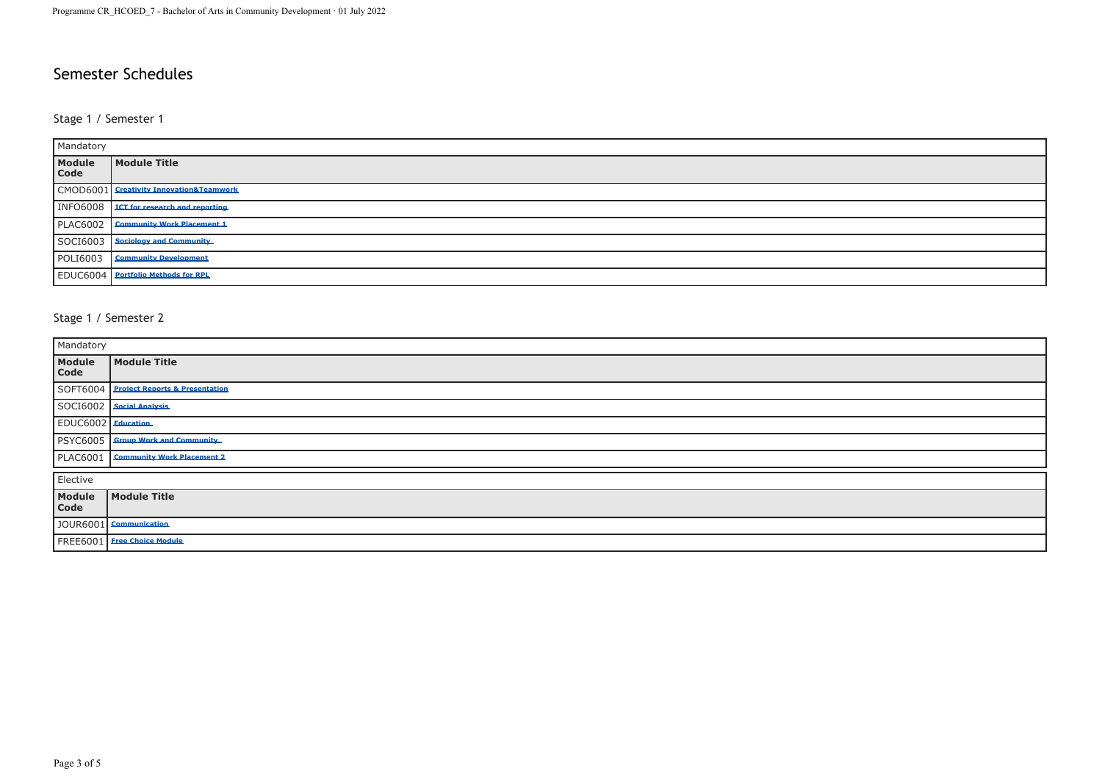### Semester Schedules

#### Stage 1 / Semester 1

| Mandatory       |                                           |  |
|-----------------|-------------------------------------------|--|
| Module<br>Code  | Module Title                              |  |
|                 | CMOD6001 Creativity Innovation&Teamwork   |  |
| <b>INFO6008</b> | <b>ICT for research and reporting.</b>    |  |
| <b>PLAC6002</b> | <b>Community Work Placement 1</b>         |  |
|                 | SOCI6003 Sociology and Community          |  |
| <b>POLI6003</b> | <b>Community Development</b>              |  |
|                 | <b>EDUC6004</b> Portfolio Methods for RPL |  |

#### Stage 1 / Semester 2

| Mandatory          |                                         |  |
|--------------------|-----------------------------------------|--|
| Module<br>Code     | Module Title                            |  |
|                    | SOFT6004 Project Reports & Presentation |  |
|                    | SOCI6002   Social Analysis              |  |
| EDUC6002 Education |                                         |  |
|                    | PSYC6005   Group Work and Community     |  |
|                    | PLAC6001   Community Work Placement 2   |  |
| Elective           |                                         |  |
| Module<br>Code     | Module Title                            |  |
|                    | JOUR6001 Communication                  |  |
|                    | FREE6001 Free Choice Module             |  |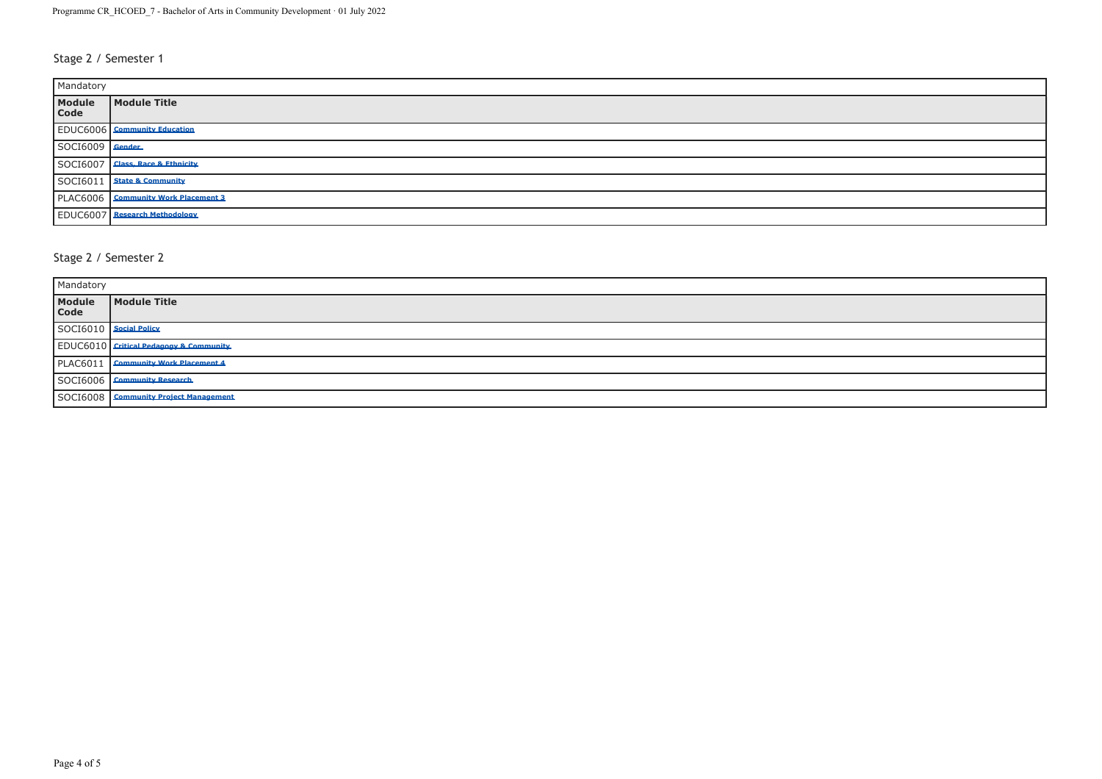#### Stage 2 / Semester 1

| Mandatory       |                                       |  |
|-----------------|---------------------------------------|--|
| Module<br>Code  | Module Title                          |  |
|                 | <b>EDUC6006</b> Community Education   |  |
| SOCI6009 Gender |                                       |  |
|                 | SOCI6007 Class, Race & Ethnicity      |  |
|                 | SOCI6011 State & Community            |  |
|                 | PLAC6006   Community Work Placement 3 |  |
|                 | <b>EDUC6007</b> Research Methodology  |  |

#### Stage 2 / Semester 2

| Mandatory                |                                               |  |
|--------------------------|-----------------------------------------------|--|
| Module<br>Code           | Module Title                                  |  |
| SOCI6010   Social Policy |                                               |  |
|                          | <b>EDUC6010</b> Critical Pedagogy & Community |  |
|                          | PLAC6011 Community Work Placement 4           |  |
|                          | SOCI6006 Community Research                   |  |
|                          | SOCI6008 Community Project Management         |  |